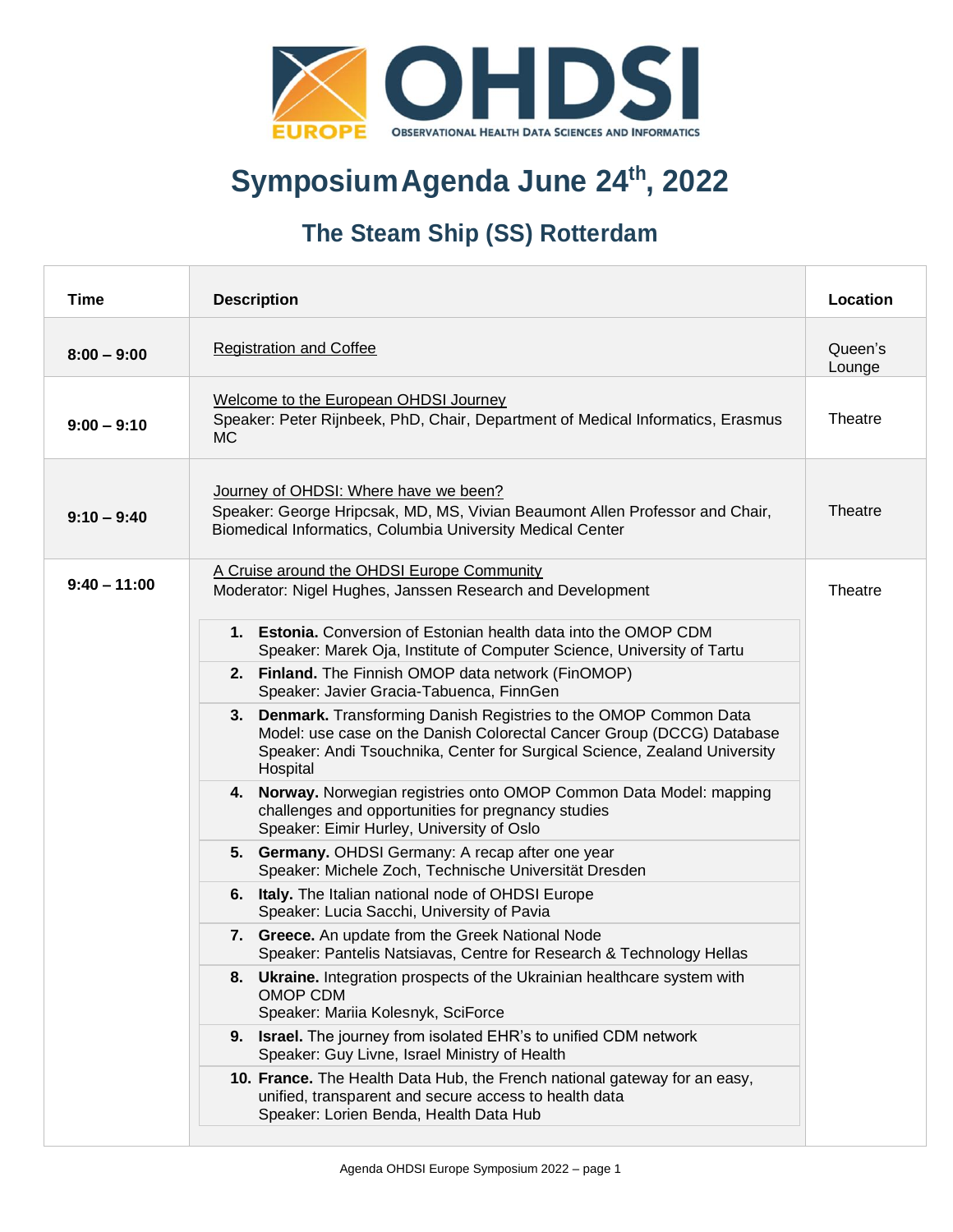

### **SymposiumAgenda June 24th , 2022**

### **The Steam Ship (SS) Rotterdam**

| <b>Time</b>    | <b>Description</b>                                                                                                                                                                                                                   | Location          |
|----------------|--------------------------------------------------------------------------------------------------------------------------------------------------------------------------------------------------------------------------------------|-------------------|
| $8:00 - 9:00$  | <b>Registration and Coffee</b>                                                                                                                                                                                                       | Queen's<br>Lounge |
| $9:00 - 9:10$  | Welcome to the European OHDSI Journey<br>Speaker: Peter Rijnbeek, PhD, Chair, Department of Medical Informatics, Erasmus<br>MC.                                                                                                      | Theatre           |
| $9:10 - 9:40$  | Journey of OHDSI: Where have we been?<br>Speaker: George Hripcsak, MD, MS, Vivian Beaumont Allen Professor and Chair,<br>Biomedical Informatics, Columbia University Medical Center                                                  | Theatre           |
| $9:40 - 11:00$ | A Cruise around the OHDSI Europe Community<br>Moderator: Nigel Hughes, Janssen Research and Development                                                                                                                              | Theatre           |
|                | 1. Estonia, Conversion of Estonian health data into the OMOP CDM<br>Speaker: Marek Oja, Institute of Computer Science, University of Tartu                                                                                           |                   |
|                | 2. Finland. The Finnish OMOP data network (FinOMOP)<br>Speaker: Javier Gracia-Tabuenca, FinnGen                                                                                                                                      |                   |
|                | 3. Denmark. Transforming Danish Registries to the OMOP Common Data<br>Model: use case on the Danish Colorectal Cancer Group (DCCG) Database<br>Speaker: Andi Tsouchnika, Center for Surgical Science, Zealand University<br>Hospital |                   |
|                | 4. Norway. Norwegian registries onto OMOP Common Data Model: mapping<br>challenges and opportunities for pregnancy studies<br>Speaker: Eimir Hurley, University of Oslo                                                              |                   |
|                | 5. Germany. OHDSI Germany: A recap after one year<br>Speaker: Michele Zoch, Technische Universität Dresden                                                                                                                           |                   |
|                | 6. Italy. The Italian national node of OHDSI Europe<br>Speaker: Lucia Sacchi, University of Pavia                                                                                                                                    |                   |
|                | 7. Greece. An update from the Greek National Node<br>Speaker: Pantelis Natsiavas, Centre for Research & Technology Hellas                                                                                                            |                   |
|                | <b>Ukraine.</b> Integration prospects of the Ukrainian healthcare system with<br>8.<br>OMOP CDM<br>Speaker: Mariia Kolesnyk, SciForce                                                                                                |                   |
|                | 9. Israel. The journey from isolated EHR's to unified CDM network<br>Speaker: Guy Livne, Israel Ministry of Health                                                                                                                   |                   |
|                | 10. France. The Health Data Hub, the French national gateway for an easy,<br>unified, transparent and secure access to health data<br>Speaker: Lorien Benda, Health Data Hub                                                         |                   |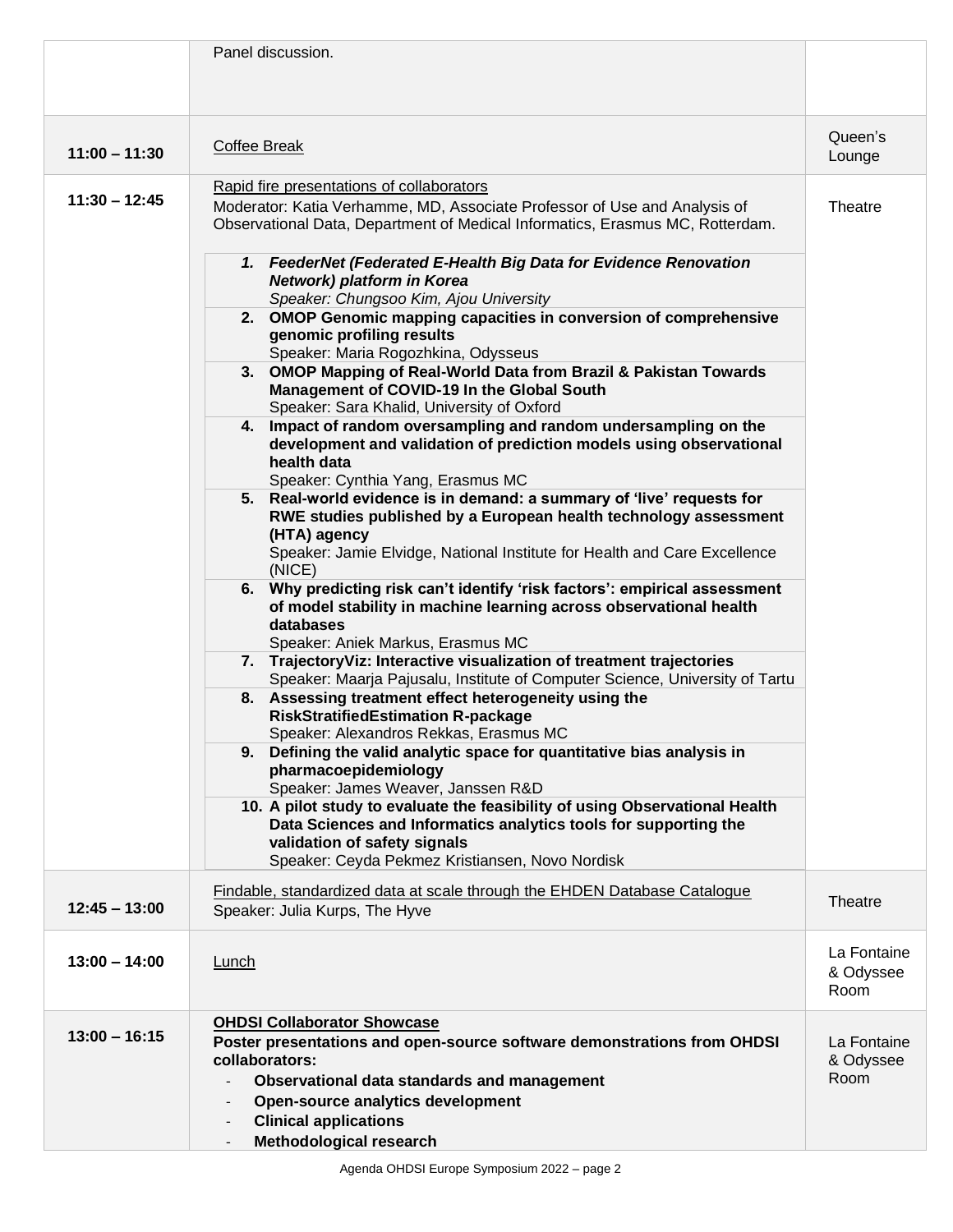|                 | Panel discussion.                                                                                                                                                                                                                                                                                                                                                                                                                                                                                                                                                                                                                                                                                                                                                                                                                                                                                                                                                                                                                                                                                                                                                                                                                                                                                                                                                                                                                                                                                                                                                                                                                                                                                                                                                                                                                                                                                                                                                                                              |                                  |
|-----------------|----------------------------------------------------------------------------------------------------------------------------------------------------------------------------------------------------------------------------------------------------------------------------------------------------------------------------------------------------------------------------------------------------------------------------------------------------------------------------------------------------------------------------------------------------------------------------------------------------------------------------------------------------------------------------------------------------------------------------------------------------------------------------------------------------------------------------------------------------------------------------------------------------------------------------------------------------------------------------------------------------------------------------------------------------------------------------------------------------------------------------------------------------------------------------------------------------------------------------------------------------------------------------------------------------------------------------------------------------------------------------------------------------------------------------------------------------------------------------------------------------------------------------------------------------------------------------------------------------------------------------------------------------------------------------------------------------------------------------------------------------------------------------------------------------------------------------------------------------------------------------------------------------------------------------------------------------------------------------------------------------------------|----------------------------------|
| $11:00 - 11:30$ | <b>Coffee Break</b>                                                                                                                                                                                                                                                                                                                                                                                                                                                                                                                                                                                                                                                                                                                                                                                                                                                                                                                                                                                                                                                                                                                                                                                                                                                                                                                                                                                                                                                                                                                                                                                                                                                                                                                                                                                                                                                                                                                                                                                            | Queen's<br>Lounge                |
| $11:30 - 12:45$ | Rapid fire presentations of collaborators<br>Moderator: Katia Verhamme, MD, Associate Professor of Use and Analysis of<br>Observational Data, Department of Medical Informatics, Erasmus MC, Rotterdam.<br>1. FeederNet (Federated E-Health Big Data for Evidence Renovation<br>Network) platform in Korea<br>Speaker: Chungsoo Kim, Ajou University<br>2. OMOP Genomic mapping capacities in conversion of comprehensive<br>genomic profiling results<br>Speaker: Maria Rogozhkina, Odysseus<br>3. OMOP Mapping of Real-World Data from Brazil & Pakistan Towards<br>Management of COVID-19 In the Global South<br>Speaker: Sara Khalid, University of Oxford<br>4. Impact of random oversampling and random undersampling on the<br>development and validation of prediction models using observational<br>health data<br>Speaker: Cynthia Yang, Erasmus MC<br>5. Real-world evidence is in demand: a summary of 'live' requests for<br>RWE studies published by a European health technology assessment<br>(HTA) agency<br>Speaker: Jamie Elvidge, National Institute for Health and Care Excellence<br>(NICE)<br>6. Why predicting risk can't identify 'risk factors': empirical assessment<br>of model stability in machine learning across observational health<br>databases<br>Speaker: Aniek Markus, Erasmus MC<br>7. TrajectoryViz: Interactive visualization of treatment trajectories<br>Speaker: Maarja Pajusalu, Institute of Computer Science, University of Tartu<br>8. Assessing treatment effect heterogeneity using the<br><b>RiskStratifiedEstimation R-package</b><br>Speaker: Alexandros Rekkas, Erasmus MC<br>9. Defining the valid analytic space for quantitative bias analysis in<br>pharmacoepidemiology<br>Speaker: James Weaver, Janssen R&D<br>10. A pilot study to evaluate the feasibility of using Observational Health<br>Data Sciences and Informatics analytics tools for supporting the<br>validation of safety signals<br>Speaker: Ceyda Pekmez Kristiansen, Novo Nordisk | Theatre                          |
| $12:45 - 13:00$ | Findable, standardized data at scale through the EHDEN Database Catalogue<br>Speaker: Julia Kurps, The Hyve                                                                                                                                                                                                                                                                                                                                                                                                                                                                                                                                                                                                                                                                                                                                                                                                                                                                                                                                                                                                                                                                                                                                                                                                                                                                                                                                                                                                                                                                                                                                                                                                                                                                                                                                                                                                                                                                                                    | Theatre                          |
| $13:00 - 14:00$ | Lunch                                                                                                                                                                                                                                                                                                                                                                                                                                                                                                                                                                                                                                                                                                                                                                                                                                                                                                                                                                                                                                                                                                                                                                                                                                                                                                                                                                                                                                                                                                                                                                                                                                                                                                                                                                                                                                                                                                                                                                                                          | La Fontaine<br>& Odyssee<br>Room |
| $13:00 - 16:15$ | <b>OHDSI Collaborator Showcase</b><br>Poster presentations and open-source software demonstrations from OHDSI<br>collaborators:<br>Observational data standards and management<br>Open-source analytics development<br><b>Clinical applications</b><br>Methodological research                                                                                                                                                                                                                                                                                                                                                                                                                                                                                                                                                                                                                                                                                                                                                                                                                                                                                                                                                                                                                                                                                                                                                                                                                                                                                                                                                                                                                                                                                                                                                                                                                                                                                                                                 | La Fontaine<br>& Odyssee<br>Room |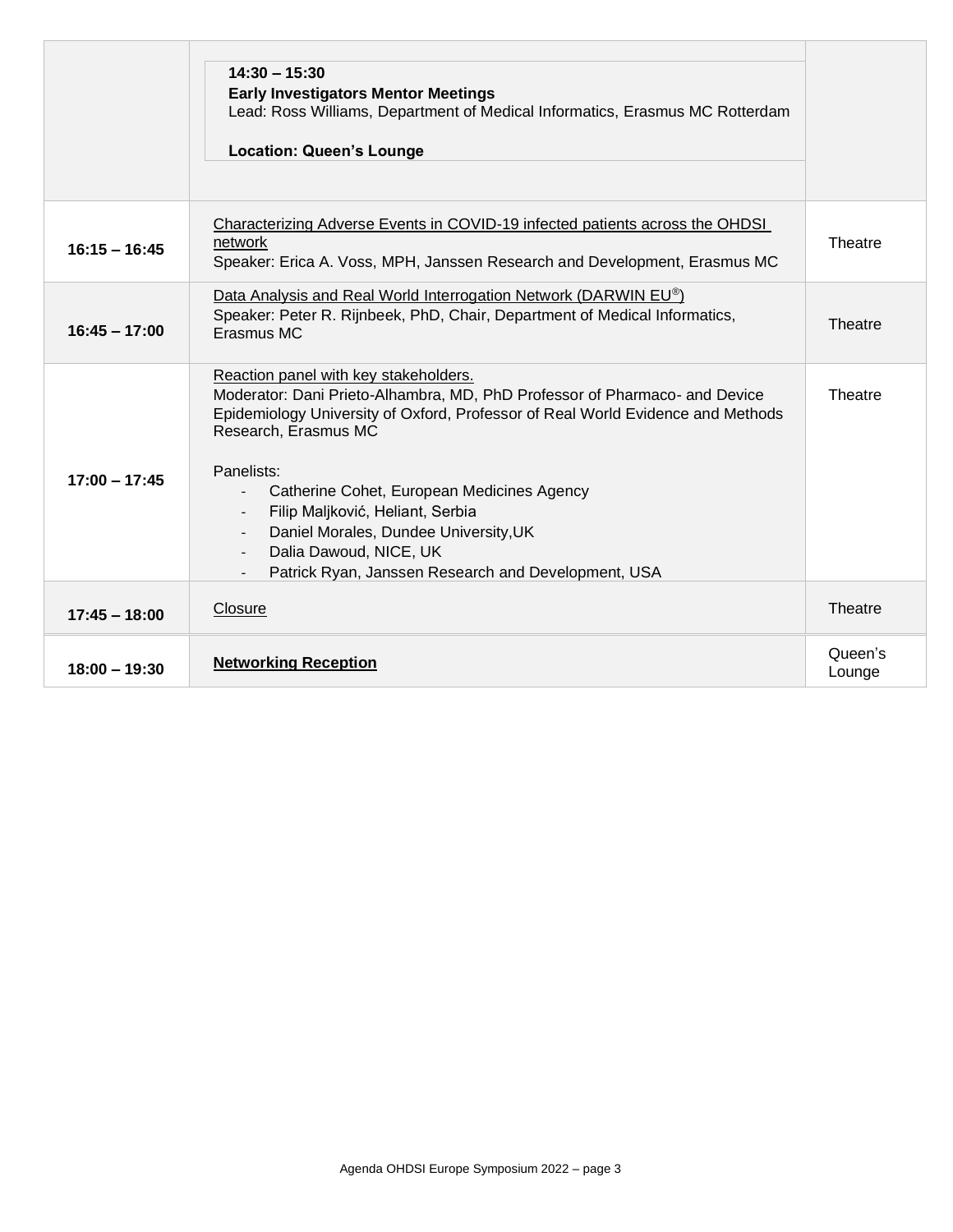|                 | $14:30 - 15:30$<br><b>Early Investigators Mentor Meetings</b><br>Lead: Ross Williams, Department of Medical Informatics, Erasmus MC Rotterdam<br><b>Location: Queen's Lounge</b>                                                                                                                                                                                                                                                                                                     |                   |
|-----------------|--------------------------------------------------------------------------------------------------------------------------------------------------------------------------------------------------------------------------------------------------------------------------------------------------------------------------------------------------------------------------------------------------------------------------------------------------------------------------------------|-------------------|
| $16:15 - 16:45$ | Characterizing Adverse Events in COVID-19 infected patients across the OHDSI<br>network<br>Speaker: Erica A. Voss, MPH, Janssen Research and Development, Erasmus MC                                                                                                                                                                                                                                                                                                                 | Theatre           |
| $16:45 - 17:00$ | Data Analysis and Real World Interrogation Network (DARWIN EU®)<br>Speaker: Peter R. Rijnbeek, PhD, Chair, Department of Medical Informatics,<br>Erasmus MC                                                                                                                                                                                                                                                                                                                          | Theatre           |
| $17:00 - 17:45$ | Reaction panel with key stakeholders.<br>Moderator: Dani Prieto-Alhambra, MD, PhD Professor of Pharmaco- and Device<br>Epidemiology University of Oxford, Professor of Real World Evidence and Methods<br>Research, Erasmus MC<br>Panelists:<br>Catherine Cohet, European Medicines Agency<br>Filip Maljković, Heliant, Serbia<br>$\overline{\phantom{a}}$<br>Daniel Morales, Dundee University, UK<br>Dalia Dawoud, NICE, UK<br>Patrick Ryan, Janssen Research and Development, USA | Theatre           |
| $17:45 - 18:00$ | Closure                                                                                                                                                                                                                                                                                                                                                                                                                                                                              | Theatre           |
| $18:00 - 19:30$ | <b>Networking Reception</b>                                                                                                                                                                                                                                                                                                                                                                                                                                                          | Queen's<br>Lounge |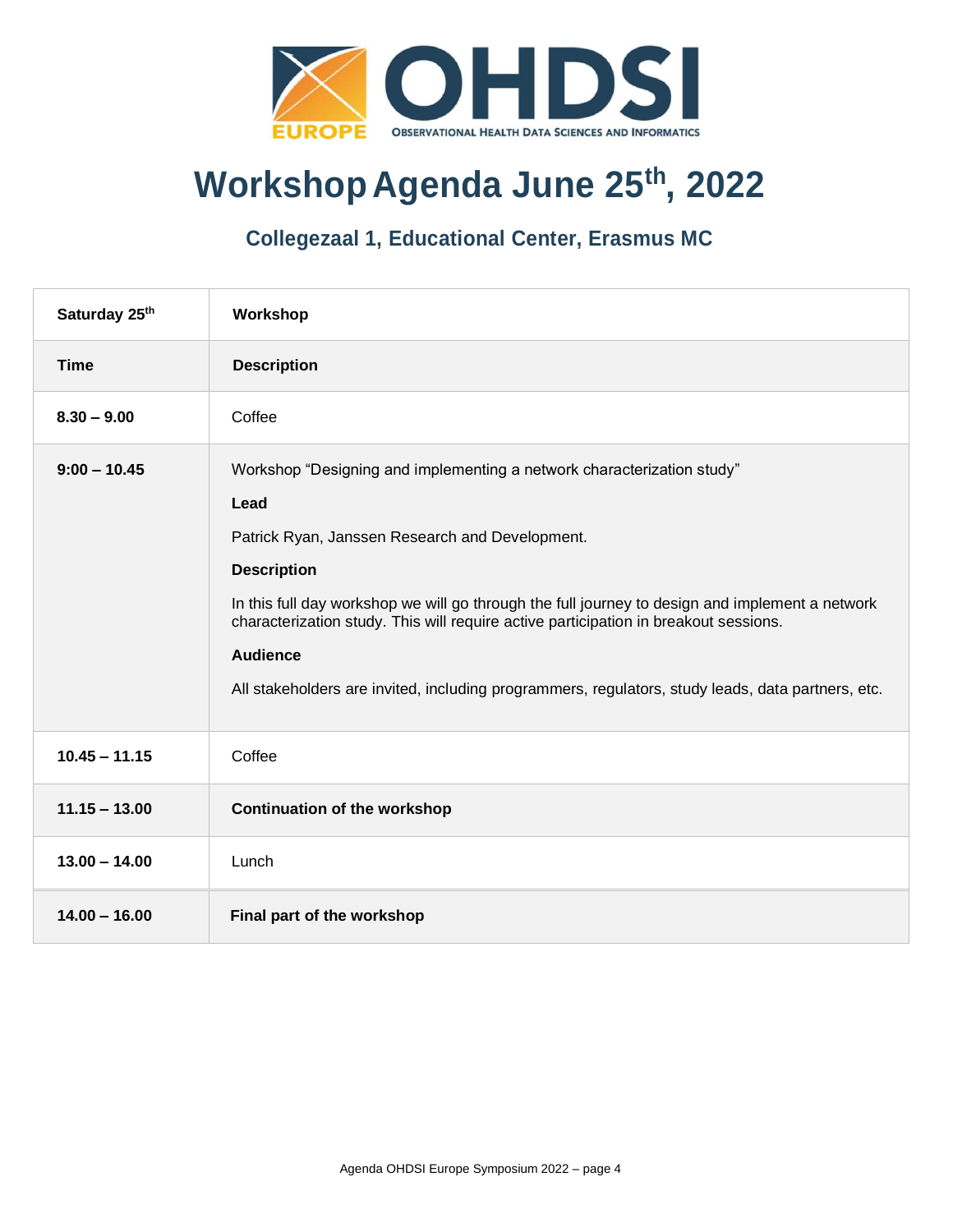

# **Workshop Agenda June 25th, 2022**

#### **Collegezaal 1, Educational Center, Erasmus MC**

| Saturday 25th   | Workshop                                                                                                                                                                                                                                                                                                                                                                                                                                                                   |
|-----------------|----------------------------------------------------------------------------------------------------------------------------------------------------------------------------------------------------------------------------------------------------------------------------------------------------------------------------------------------------------------------------------------------------------------------------------------------------------------------------|
| <b>Time</b>     | <b>Description</b>                                                                                                                                                                                                                                                                                                                                                                                                                                                         |
| $8.30 - 9.00$   | Coffee                                                                                                                                                                                                                                                                                                                                                                                                                                                                     |
| $9:00 - 10.45$  | Workshop "Designing and implementing a network characterization study"<br>Lead<br>Patrick Ryan, Janssen Research and Development.<br><b>Description</b><br>In this full day workshop we will go through the full journey to design and implement a network<br>characterization study. This will require active participation in breakout sessions.<br><b>Audience</b><br>All stakeholders are invited, including programmers, regulators, study leads, data partners, etc. |
| $10.45 - 11.15$ | Coffee                                                                                                                                                                                                                                                                                                                                                                                                                                                                     |
| $11.15 - 13.00$ | <b>Continuation of the workshop</b>                                                                                                                                                                                                                                                                                                                                                                                                                                        |
| $13.00 - 14.00$ | Lunch                                                                                                                                                                                                                                                                                                                                                                                                                                                                      |
| $14.00 - 16.00$ | Final part of the workshop                                                                                                                                                                                                                                                                                                                                                                                                                                                 |